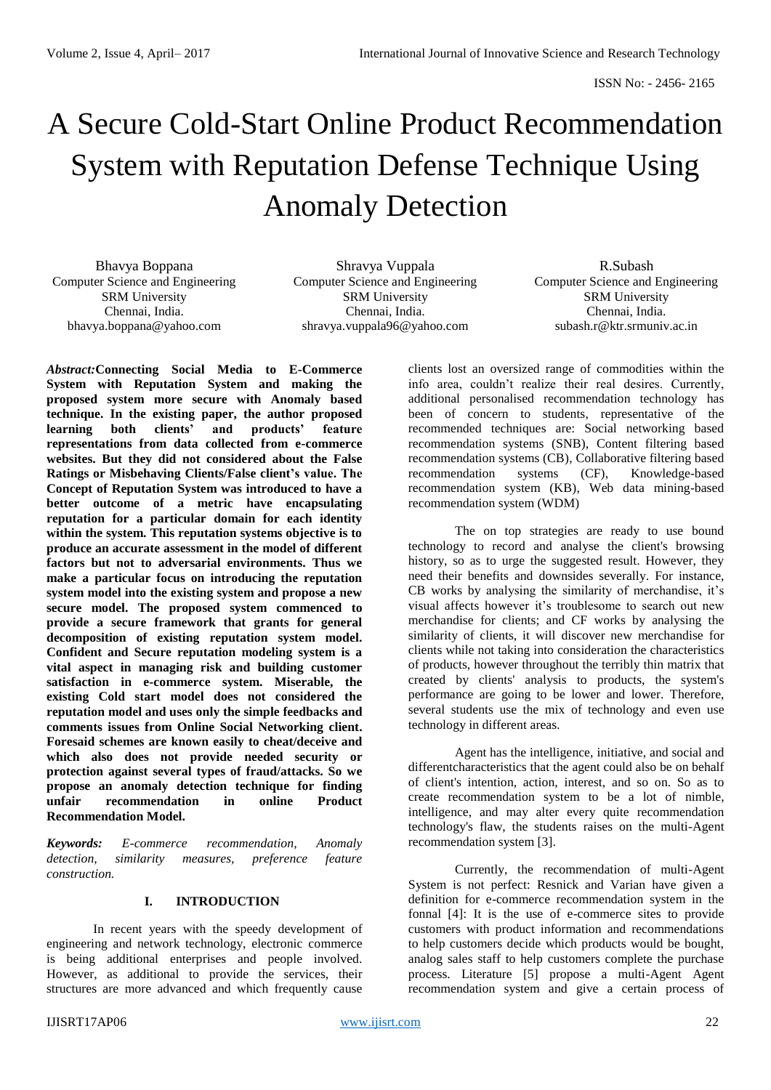# A Secure Cold-Start Online Product Recommendation System with Reputation Defense Technique Using Anomaly Detection

Bhavya Boppana Computer Science and Engineering SRM University Chennai, India. bhavya.boppana@yahoo.com

Shravya Vuppala Computer Science and Engineering SRM University Chennai, India. shravya.vuppala96@yahoo.com

R.Subash Computer Science and Engineering SRM University Chennai, India. subash.r@ktr.srmuniv.ac.in

*Abstract:***Connecting Social Media to E-Commerce System with Reputation System and making the proposed system more secure with Anomaly based technique. In the existing paper, the author proposed learning both clients' and products' feature representations from data collected from e-commerce websites. But they did not considered about the False Ratings or Misbehaving Clients/False client's value. The Concept of Reputation System was introduced to have a better outcome of a metric have encapsulating reputation for a particular domain for each identity within the system. This reputation systems objective is to produce an accurate assessment in the model of different factors but not to adversarial environments. Thus we make a particular focus on introducing the reputation system model into the existing system and propose a new secure model. The proposed system commenced to provide a secure framework that grants for general decomposition of existing reputation system model. Confident and Secure reputation modeling system is a vital aspect in managing risk and building customer satisfaction in e-commerce system. Miserable, the existing Cold start model does not considered the reputation model and uses only the simple feedbacks and comments issues from Online Social Networking client. Foresaid schemes are known easily to cheat/deceive and which also does not provide needed security or protection against several types of fraud/attacks. So we propose an anomaly detection technique for finding unfair recommendation in online Product unfair recommendation in online Product Recommendation Model.**

*Keywords: E-commerce recommendation, Anomaly detection, similarity measures, preference feature construction.*

# **I. INTRODUCTION**

In recent years with the speedy development of engineering and network technology, electronic commerce is being additional enterprises and people involved. However, as additional to provide the services, their structures are more advanced and which frequently cause

clients lost an oversized range of commodities within the info area, couldn't realize their real desires. Currently, additional personalised recommendation technology has been of concern to students, representative of the recommended techniques are: Social networking based recommendation systems (SNB), Content filtering based recommendation systems (CB), Collaborative filtering based recommendation systems (CF), Knowledge-based recommendation system (KB), Web data mining-based recommendation system (WDM)

The on top strategies are ready to use bound technology to record and analyse the client's browsing history, so as to urge the suggested result. However, they need their benefits and downsides severally. For instance, CB works by analysing the similarity of merchandise, it's visual affects however it's troublesome to search out new merchandise for clients; and CF works by analysing the similarity of clients, it will discover new merchandise for clients while not taking into consideration the characteristics of products, however throughout the terribly thin matrix that created by clients' analysis to products, the system's performance are going to be lower and lower. Therefore, several students use the mix of technology and even use technology in different areas.

Agent has the intelligence, initiative, and social and differentcharacteristics that the agent could also be on behalf of client's intention, action, interest, and so on. So as to create recommendation system to be a lot of nimble, intelligence, and may alter every quite recommendation technology's flaw, the students raises on the multi-Agent recommendation system [3].

Currently, the recommendation of multi-Agent System is not perfect: Resnick and Varian have given a definition for e-commerce recommendation system in the fonnal [4]: It is the use of e-commerce sites to provide customers with product information and recommendations to help customers decide which products would be bought, analog sales staff to help customers complete the purchase process. Literature [5] propose a multi-Agent Agent recommendation system and give a certain process of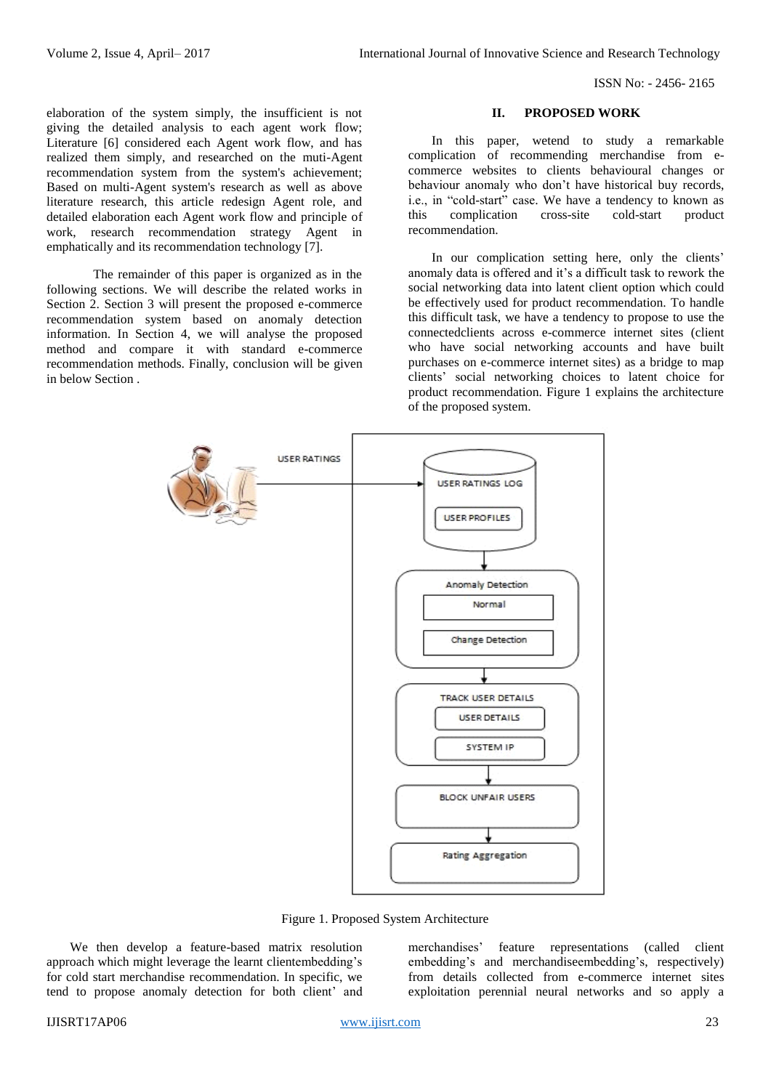ISSN No: - 2456- 2165

elaboration of the system simply, the insufficient is not giving the detailed analysis to each agent work flow; Literature [6] considered each Agent work flow, and has realized them simply, and researched on the muti-Agent recommendation system from the system's achievement; Based on multi-Agent system's research as well as above literature research, this article redesign Agent role, and detailed elaboration each Agent work flow and principle of work, research recommendation strategy Agent in emphatically and its recommendation technology [7].

The remainder of this paper is organized as in the following sections. We will describe the related works in Section 2. Section 3 will present the proposed e-commerce recommendation system based on anomaly detection information. In Section 4, we will analyse the proposed method and compare it with standard e-commerce recommendation methods. Finally, conclusion will be given in below Section .

# **II. PROPOSED WORK**

In this paper, wetend to study a remarkable complication of recommending merchandise from ecommerce websites to clients behavioural changes or behaviour anomaly who don't have historical buy records, i.e., in "cold-start" case. We have a tendency to known as this complication cross-site cold-start product recommendation.

In our complication setting here, only the clients' anomaly data is offered and it's a difficult task to rework the social networking data into latent client option which could be effectively used for product recommendation. To handle this difficult task, we have a tendency to propose to use the connectedclients across e-commerce internet sites (client who have social networking accounts and have built purchases on e-commerce internet sites) as a bridge to map clients' social networking choices to latent choice for product recommendation. Figure 1 explains the architecture of the proposed system.



Figure 1. Proposed System Architecture

We then develop a feature-based matrix resolution approach which might leverage the learnt clientembedding's for cold start merchandise recommendation. In specific, we tend to propose anomaly detection for both client' and merchandises' feature representations (called client embedding's and merchandiseembedding's, respectively) from details collected from e-commerce internet sites exploitation perennial neural networks and so apply a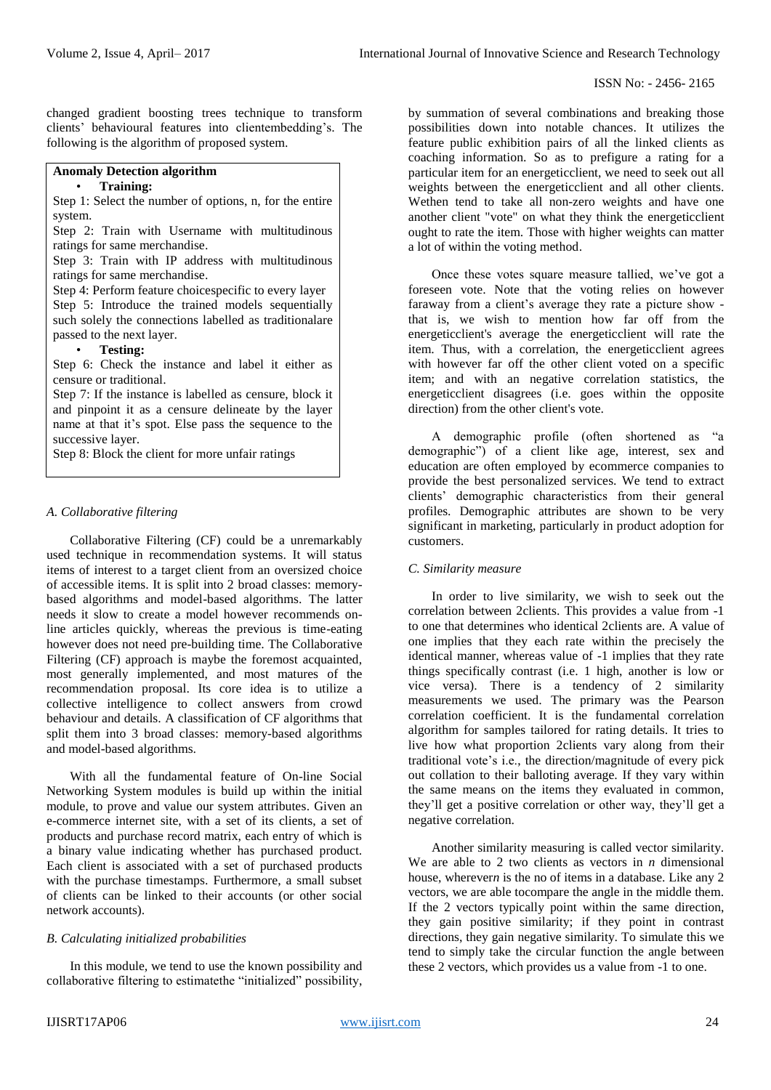changed gradient boosting trees technique to transform clients' behavioural features into clientembedding's. The following is the algorithm of proposed system.

# **Anomaly Detection algorithm**

## • **Training:**

Step 1: Select the number of options, n, for the entire system.

Step 2: Train with Username with multitudinous ratings for same merchandise.

Step 3: Train with IP address with multitudinous ratings for same merchandise.

Step 4: Perform feature choicespecific to every layer Step 5: Introduce the trained models sequentially such solely the connections labelled as traditionalare passed to the next layer.

## • **Testing:**

Step 6: Check the instance and label it either as censure or traditional.

Step 7: If the instance is labelled as censure, block it and pinpoint it as a censure delineate by the layer name at that it's spot. Else pass the sequence to the successive layer.

Step 8: Block the client for more unfair ratings

## *A. Collaborative filtering*

Collaborative Filtering (CF) could be a unremarkably used technique in recommendation systems. It will status items of interest to a target client from an oversized choice of accessible items. It is split into 2 broad classes: memorybased algorithms and model-based algorithms. The latter needs it slow to create a model however recommends online articles quickly, whereas the previous is time-eating however does not need pre-building time. The Collaborative Filtering (CF) approach is maybe the foremost acquainted, most generally implemented, and most matures of the recommendation proposal. Its core idea is to utilize a collective intelligence to collect answers from crowd behaviour and details. A classification of CF algorithms that split them into 3 broad classes: memory-based algorithms and model-based algorithms.

With all the fundamental feature of On-line Social Networking System modules is build up within the initial module, to prove and value our system attributes. Given an e-commerce internet site, with a set of its clients, a set of products and purchase record matrix, each entry of which is a binary value indicating whether has purchased product. Each client is associated with a set of purchased products with the purchase timestamps. Furthermore, a small subset of clients can be linked to their accounts (or other social network accounts).

#### *B. Calculating initialized probabilities*

In this module, we tend to use the known possibility and collaborative filtering to estimatethe "initialized" possibility,

by summation of several combinations and breaking those possibilities down into notable chances. It utilizes the feature public exhibition pairs of all the linked clients as coaching information. So as to prefigure a rating for a particular item for an energeticclient, we need to seek out all weights between the energeticclient and all other clients. Wethen tend to take all non-zero weights and have one another client "vote" on what they think the energeticclient ought to rate the item. Those with higher weights can matter a lot of within the voting method.

Once these votes square measure tallied, we've got a foreseen vote. Note that the voting relies on however faraway from a client's average they rate a picture show that is, we wish to mention how far off from the energeticclient's average the energeticclient will rate the item. Thus, with a correlation, the energeticclient agrees with however far off the other client voted on a specific item; and with an negative correlation statistics, the energeticclient disagrees (i.e. goes within the opposite direction) from the other client's vote.

A demographic profile (often shortened as "a demographic") of a client like age, interest, sex and education are often employed by ecommerce companies to provide the best personalized services. We tend to extract clients' demographic characteristics from their general profiles. Demographic attributes are shown to be very significant in marketing, particularly in product adoption for customers.

#### *C. Similarity measure*

In order to live similarity, we wish to seek out the correlation between 2clients. This provides a value from -1 to one that determines who identical 2clients are. A value of one implies that they each rate within the precisely the identical manner, whereas value of -1 implies that they rate things specifically contrast (i.e. 1 high, another is low or vice versa). There is a tendency of 2 similarity measurements we used. The primary was the Pearson correlation coefficient. It is the fundamental correlation algorithm for samples tailored for rating details. It tries to live how what proportion 2clients vary along from their traditional vote's i.e., the direction/magnitude of every pick out collation to their balloting average. If they vary within the same means on the items they evaluated in common, they'll get a positive correlation or other way, they'll get a negative correlation.

Another similarity measuring is called vector similarity. We are able to 2 two clients as vectors in *n* dimensional house, wherever*n* is the no of items in a database. Like any 2 vectors, we are able tocompare the angle in the middle them. If the 2 vectors typically point within the same direction, they gain positive similarity; if they point in contrast directions, they gain negative similarity. To simulate this we tend to simply take the circular function the angle between these 2 vectors, which provides us a value from -1 to one.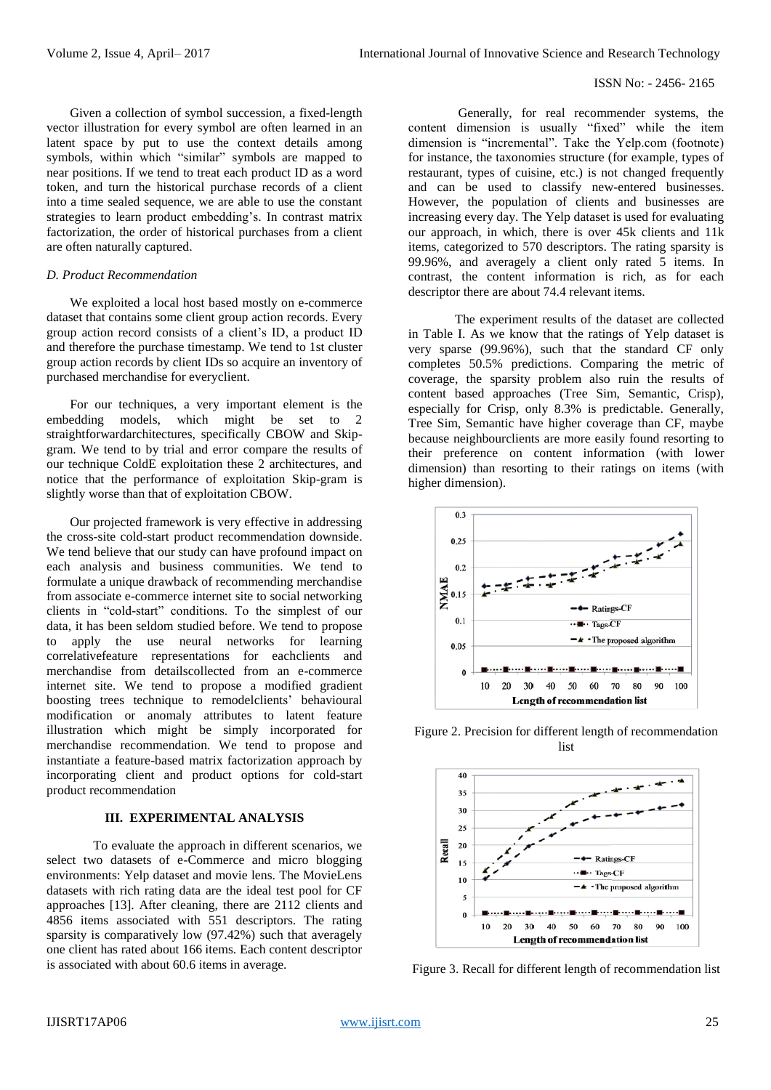### ISSN No: - 2456- 2165

Given a collection of symbol succession, a fixed-length vector illustration for every symbol are often learned in an latent space by put to use the context details among symbols, within which "similar" symbols are mapped to near positions. If we tend to treat each product ID as a word token, and turn the historical purchase records of a client into a time sealed sequence, we are able to use the constant strategies to learn product embedding's. In contrast matrix factorization, the order of historical purchases from a client are often naturally captured.

## *D. Product Recommendation*

We exploited a local host based mostly on e-commerce dataset that contains some client group action records. Every group action record consists of a client's ID, a product ID and therefore the purchase timestamp. We tend to 1st cluster group action records by client IDs so acquire an inventory of purchased merchandise for everyclient.

For our techniques, a very important element is the embedding models, which might be set to 2 straightforwardarchitectures, specifically CBOW and Skipgram. We tend to by trial and error compare the results of our technique ColdE exploitation these 2 architectures, and notice that the performance of exploitation Skip-gram is slightly worse than that of exploitation CBOW.

Our projected framework is very effective in addressing the cross-site cold-start product recommendation downside. We tend believe that our study can have profound impact on each analysis and business communities. We tend to formulate a unique drawback of recommending merchandise from associate e-commerce internet site to social networking clients in "cold-start" conditions. To the simplest of our data, it has been seldom studied before. We tend to propose to apply the use neural networks for learning correlativefeature representations for eachclients and merchandise from detailscollected from an e-commerce internet site. We tend to propose a modified gradient boosting trees technique to remodelclients' behavioural modification or anomaly attributes to latent feature illustration which might be simply incorporated for merchandise recommendation. We tend to propose and instantiate a feature-based matrix factorization approach by incorporating client and product options for cold-start product recommendation

## **III. EXPERIMENTAL ANALYSIS**

To evaluate the approach in different scenarios, we select two datasets of e-Commerce and micro blogging environments: Yelp dataset and movie lens. The MovieLens datasets with rich rating data are the ideal test pool for CF approaches [13]. After cleaning, there are 2112 clients and 4856 items associated with 551 descriptors. The rating sparsity is comparatively low (97.42%) such that averagely one client has rated about 166 items. Each content descriptor is associated with about 60.6 items in average.

Generally, for real recommender systems, the content dimension is usually "fixed" while the item dimension is "incremental". Take the Yelp.com (footnote) for instance, the taxonomies structure (for example, types of restaurant, types of cuisine, etc.) is not changed frequently and can be used to classify new-entered businesses. However, the population of clients and businesses are increasing every day. The Yelp dataset is used for evaluating our approach, in which, there is over 45k clients and 11k items, categorized to 570 descriptors. The rating sparsity is 99.96%, and averagely a client only rated 5 items. In contrast, the content information is rich, as for each descriptor there are about 74.4 relevant items.

The experiment results of the dataset are collected in Table I. As we know that the ratings of Yelp dataset is very sparse (99.96%), such that the standard CF only completes 50.5% predictions. Comparing the metric of coverage, the sparsity problem also ruin the results of content based approaches (Tree Sim, Semantic, Crisp), especially for Crisp, only 8.3% is predictable. Generally, Tree Sim, Semantic have higher coverage than CF, maybe because neighbourclients are more easily found resorting to their preference on content information (with lower dimension) than resorting to their ratings on items (with higher dimension).



Figure 2. Precision for different length of recommendation list



Figure 3. Recall for different length of recommendation list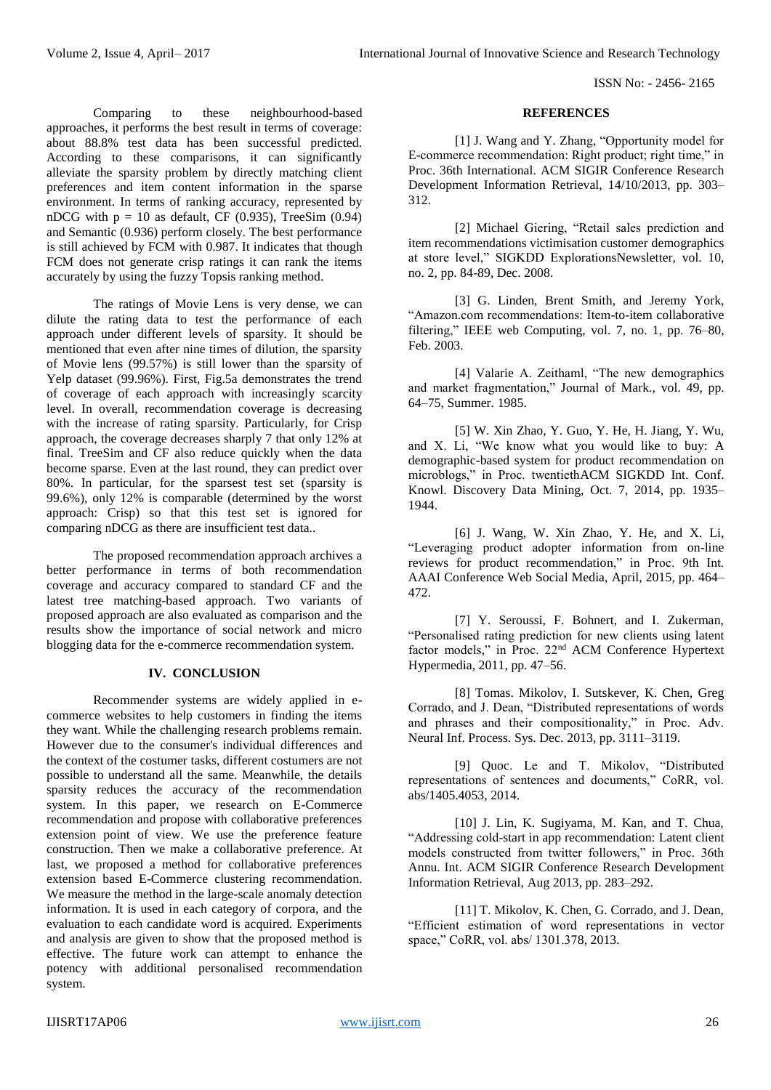ISSN No: - 2456- 2165

## **REFERENCES**

[1] J. Wang and Y. Zhang, "Opportunity model for E-commerce recommendation: Right product; right time," in Proc. 36th International. ACM SIGIR Conference Research Development Information Retrieval, 14/10/2013, pp. 303– 312.

[2] Michael Giering, "Retail sales prediction and item recommendations victimisation customer demographics at store level," SIGKDD ExplorationsNewsletter, vol. 10, no. 2, pp. 84-89, Dec. 2008.

[3] G. Linden, Brent Smith, and Jeremy York, "Amazon.com recommendations: Item-to-item collaborative filtering," IEEE web Computing, vol. 7, no. 1, pp. 76–80, Feb. 2003.

[4] Valarie A. Zeithaml, "The new demographics and market fragmentation," Journal of Mark., vol. 49, pp. 64–75, Summer. 1985.

[5] W. Xin Zhao, Y. Guo, Y. He, H. Jiang, Y. Wu, and X. Li, "We know what you would like to buy: A demographic-based system for product recommendation on microblogs," in Proc. twentiethACM SIGKDD Int. Conf. Knowl. Discovery Data Mining, Oct. 7, 2014, pp. 1935– 1944.

[6] J. Wang, W. Xin Zhao, Y. He, and X. Li, "Leveraging product adopter information from on-line reviews for product recommendation," in Proc. 9th Int. AAAI Conference Web Social Media, April, 2015, pp. 464– 472.

[7] Y. Seroussi, F. Bohnert, and I. Zukerman, "Personalised rating prediction for new clients using latent factor models," in Proc. 22nd ACM Conference Hypertext Hypermedia, 2011, pp. 47–56.

[8] Tomas. Mikolov, I. Sutskever, K. Chen, Greg Corrado, and J. Dean, "Distributed representations of words and phrases and their compositionality," in Proc. Adv. Neural Inf. Process. Sys. Dec. 2013, pp. 3111–3119.

[9] Quoc. Le and T. Mikolov, "Distributed representations of sentences and documents," CoRR, vol. abs/1405.4053, 2014.

[10] J. Lin, K. Sugiyama, M. Kan, and T. Chua, "Addressing cold-start in app recommendation: Latent client models constructed from twitter followers," in Proc. 36th Annu. Int. ACM SIGIR Conference Research Development Information Retrieval, Aug 2013, pp. 283–292.

[11] T. Mikolov, K. Chen, G. Corrado, and J. Dean, "Efficient estimation of word representations in vector space," CoRR, vol. abs/ 1301.378, 2013.

Comparing to these neighbourhood-based approaches, it performs the best result in terms of coverage: about 88.8% test data has been successful predicted. According to these comparisons, it can significantly alleviate the sparsity problem by directly matching client preferences and item content information in the sparse environment. In terms of ranking accuracy, represented by nDCG with  $p = 10$  as default, CF (0.935), TreeSim (0.94) and Semantic (0.936) perform closely. The best performance is still achieved by FCM with 0.987. It indicates that though FCM does not generate crisp ratings it can rank the items accurately by using the fuzzy Topsis ranking method.

The ratings of Movie Lens is very dense, we can dilute the rating data to test the performance of each approach under different levels of sparsity. It should be mentioned that even after nine times of dilution, the sparsity of Movie lens (99.57%) is still lower than the sparsity of Yelp dataset (99.96%). First, Fig.5a demonstrates the trend of coverage of each approach with increasingly scarcity level. In overall, recommendation coverage is decreasing with the increase of rating sparsity. Particularly, for Crisp approach, the coverage decreases sharply 7 that only 12% at final. TreeSim and CF also reduce quickly when the data become sparse. Even at the last round, they can predict over 80%. In particular, for the sparsest test set (sparsity is 99.6%), only 12% is comparable (determined by the worst approach: Crisp) so that this test set is ignored for comparing nDCG as there are insufficient test data..

The proposed recommendation approach archives a better performance in terms of both recommendation coverage and accuracy compared to standard CF and the latest tree matching-based approach. Two variants of proposed approach are also evaluated as comparison and the results show the importance of social network and micro blogging data for the e-commerce recommendation system.

# **IV. CONCLUSION**

Recommender systems are widely applied in ecommerce websites to help customers in finding the items they want. While the challenging research problems remain. However due to the consumer's individual differences and the context of the costumer tasks, different costumers are not possible to understand all the same. Meanwhile, the details sparsity reduces the accuracy of the recommendation system. In this paper, we research on E-Commerce recommendation and propose with collaborative preferences extension point of view. We use the preference feature construction. Then we make a collaborative preference. At last, we proposed a method for collaborative preferences extension based E-Commerce clustering recommendation. We measure the method in the large-scale anomaly detection information. It is used in each category of corpora, and the evaluation to each candidate word is acquired. Experiments and analysis are given to show that the proposed method is effective. The future work can attempt to enhance the potency with additional personalised recommendation system.